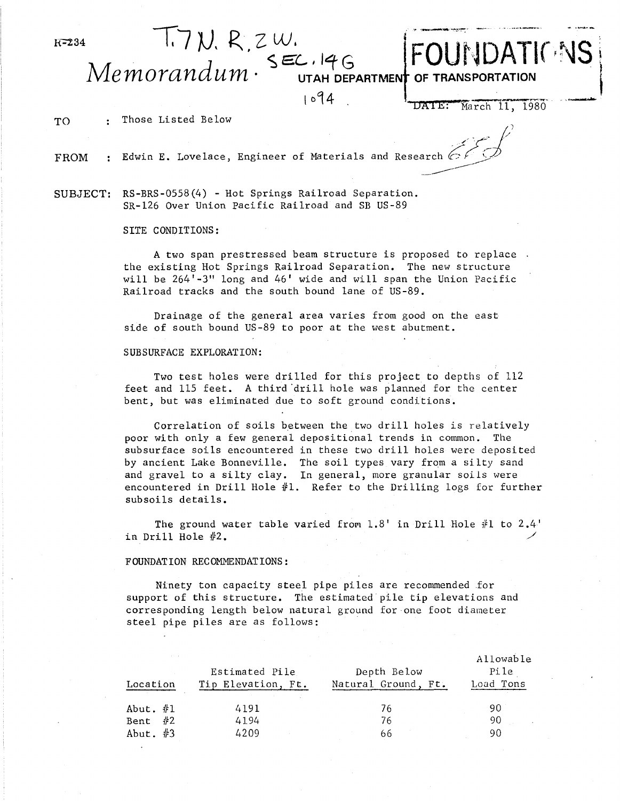l{~34

FOUNDATIONS

Memorandum · SEC, 146 OF TRANSPORTATION

 $1094$ 

**DAlE:**  March 11, 1980

.<br>Z

TO : Those Listed Below

FROM : Edwin E. Lovelace, Engineer of Materials and

Research c7*c* . **Edwin E.** Lovelace, Engineer of Materials and Research  $\frac{1}{2}$ SR-126 Over Union Pacific Railroad and SB US-89

 $T$ . 7 $N$ . R.  $z$  W.

SITE CONDITIONS:

A two span prestressed beam structure is proposed to replace the existing Hot Springs Railroad Separation. The new structure will be 264'-3" long and 46' wide and will span the Union Pacific Railroad tracks and the south bound lane of US-89.

Drainage of the general area varies from good on the east side of south bound US-89 to poor at the west abutment.

## SUBSURFACE EXPLORATION:

Two test holes were drilled for this project to depths of 112 feet and 115 feet. A third 'drill hole was planned for the center bent, but was eliminated due to soft ground conditions.

Correlation of soils between the two drill holes is relatively poor with only a few general depositional trends in common. The subsurface soils encountered in these two drill holes were deposited by ancient Lake Bonneville. The soil types vary from a silty sand and gravel to a silty clay. In general, more granular soils were encountered in Drill Hole  $#1$ . Refer to the Drilling logs for further subsoils details.

The ground water table varied from  $1.8'$  in Drill Hole  $#1$  to  $2.4'$ in Drill Hole  $#2$ .

## FOUNDATION RECOMMENDATIONS:

Ninety ton capacity steel pipe piles are recommended for support of this structure. The estimated pile tip elevations and corresponding length below natural ground for one foot diameter steel pipe piles are as follows:

| Location   | Estimated Pile<br>Tip Elevation, Ft. | Depth Below<br>Natural Ground, Ft. | Allowable<br>Pile<br>Load Tons |
|------------|--------------------------------------|------------------------------------|--------------------------------|
| Abut. $#1$ | 4191                                 | 76                                 | 90                             |
| Bent $#2$  | 4194                                 | 76                                 | 90                             |
| Abut. $#3$ | 4209                                 | 66                                 | 90                             |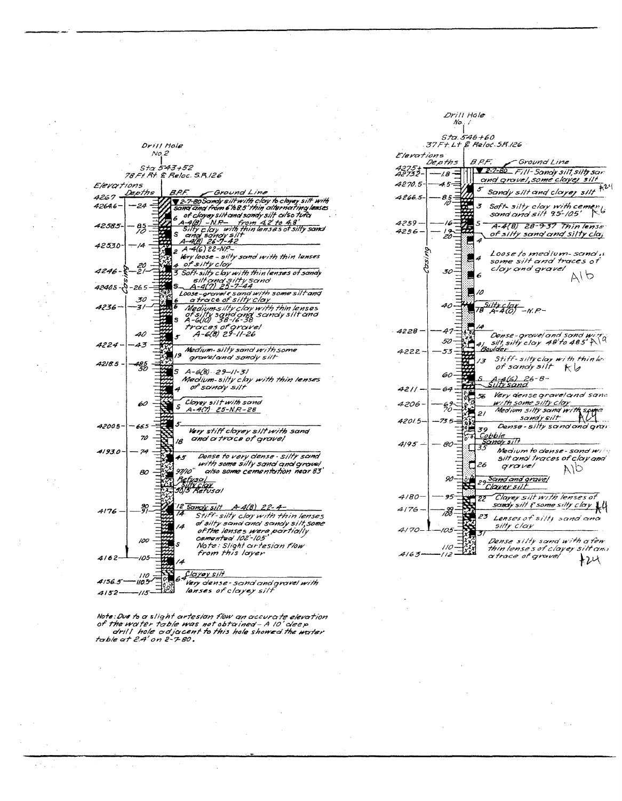|                     | Drill Hole                                                              |
|---------------------|-------------------------------------------------------------------------|
| No.2                |                                                                         |
|                     | Sta 543+52                                                              |
|                     | 78 Ft Rt. & Reloc. S.R. 126                                             |
| Elevations          |                                                                         |
| <u>Depths</u>       | B.P.F.<br>-Ground Line                                                  |
| 4267.               | 2-7-80 Samly silt with clay to clayey silt with                         |
| 4264.6<br>24        | sand and from 6'to8.5' thin alternating lenses .                        |
|                     | of clayey silt and sandy silt cilso tufci<br>4<br>$4(8) - N. P -$       |
| 42585-<br>85<br>10  | from $42'$ to $48$<br>with thin lenses of silfy sand                    |
|                     | ilty clay<br>and sow<br>s<br>cinci sonoy siin<br>A-4(B) 26-7-42         |
| /4<br>4253.0-       | $2.4 - 46.22 - NP -$                                                    |
|                     | Very loose - silty sand with thin lenses                                |
|                     | 4 of silty clay                                                         |
| 20<br>21<br>4246-5  | 3 Soft-silty clay with thin lenses of sandy                             |
|                     | silt and silty sand<br>1-4(7) 25-7-44                                   |
| 42405 - 0 - 265     | $-4(7)$                                                                 |
| 30                  | Loose-gravel & sand with some silt and<br>a trace of silty clay         |
| 4236–<br>31         | Medium silty clay with thin lenses                                      |
|                     | of silty sond and sandy silt and<br>A-6(10) 38-16-38<br>s               |
|                     | traces of grovel<br>A-6(8) 29-11-26                                     |
| 40                  | s                                                                       |
| 4224 –<br>43        |                                                                         |
|                     | Medium-silty sand with some<br>79<br>grave/and sandy silt               |
| 4218.5<br>195<br>30 |                                                                         |
|                     | s<br>A-6(8) - 29--11-31                                                 |
|                     | Medium-silty clay with thin lenses                                      |
|                     | ot <sup>a</sup> sandv silt<br>4                                         |
| 60                  | Clayey silt with sand                                                   |
|                     | $\mathcal{S}$<br>$A - 4(7) 25 - N.P - 28$                               |
|                     |                                                                         |
| 4200.5–<br>66.5     | 5.<br>Very stiff cloyey silt with sand                                  |
| 70                  | and a trace of gravel<br>18                                             |
| 74                  |                                                                         |
| 4193.0-             | Dense to very clense - silty sand<br>45                                 |
|                     | with some silty sand and grovel                                         |
| 80                  | 97/10'<br>cilso some cementation near 83"                               |
|                     | <u> Acfuso</u><br>) synt <u>elov</u><br>90/5 Refusal                    |
|                     |                                                                         |
|                     |                                                                         |
| 37<br>4176.         | 12 Sandy silt A-4(8) 22-4-<br>74                                        |
|                     | Stiff-silty cloy with thin lenses<br>of silty sand and sandy silt, some |
|                     | 14<br>of the lenses were portially                                      |
| 100                 | cemented 102'-105                                                       |
|                     | Ś<br>Note: Slight artesian flow                                         |
| 4162-<br>105        | from this layer<br>14                                                   |
|                     |                                                                         |
| 110                 | C <u>layey sin</u>                                                      |
| 4156.5°<br>110.5    | Very dense-sand and gravel with                                         |
| 4152<br>115         | lanses of clayey silt                                                   |

 $\sim$ 

 $\hat{\psi}_{\alpha}$ 

 $\sim$ 

 $\frac{1}{2}$ 

 $\mathcal{L}^2(\mathbb{Z})$  .

 $\bar{z}$ 

|                 | No.                |                                                                            |
|-----------------|--------------------|----------------------------------------------------------------------------|
|                 | S <i>ta 546+60</i> | 37F+L+ & Relot 5R126                                                       |
| Elerations      | De pth s           | B.P.F.<br>"Ground Line                                                     |
| 4275+<br>42732- | -18                | 2-7-80 Fill-Sandy silt, silty sar                                          |
| 4270.5-1        | 45                 | <u>and grovel, some clayer silt</u>                                        |
| $4266.5 -$      | 8.5<br>10          | 5<br>Sandy silt and clayey silt                                            |
|                 |                    | Soft- silty clay with cemen <sub>ts</sub><br>sand and silt 95-105' Ro<br>3 |
|                 |                    |                                                                            |
| 4259.<br>4256   | 16                 | s<br>A-4(B) 28-9-37 Thinlense                                              |
|                 | 1 g<br>20          | <u>of silty sanq'anq Silty claj</u><br>4                                   |
|                 |                    | Loose to medium-sand u                                                     |
|                 |                    | 4<br>some silt and traces of                                               |
|                 | 30                 | clay and gravel<br>へいつ<br>6                                                |
|                 |                    |                                                                            |
|                 |                    | 10                                                                         |
|                 | 40                 | 78 Silty C<br>4 <del>1 4 (6)</del> — <sub>N. P</sub> . –                   |
|                 |                    |                                                                            |
| 1228            | 41                 |                                                                            |
|                 | 50                 |                                                                            |
| 4222            | 53                 | Boulder                                                                    |
|                 |                    | Stiff-siltyclay with thinler<br>13<br>of sandy silt                        |
|                 | 60                 | ドレ<br>S                                                                    |
| 4211            | 64                 | A. 4(6) 26-8-<br>Silhi sand                                                |
|                 |                    | <b>Very dense gravel and san</b> a<br>56                                   |
| 4206-           | б9<br>70           | <u>with some silty clay</u><br>Medium silty sand with sprea                |
| 42015.          | 73.5               | 21<br>sandy silt                                                           |
|                 |                    | Dense - silty sand and gran<br>39                                          |
| 4195            | 80                 | <u>Cobble</u><br>Sandy silt                                                |
|                 |                    | 33<br>Medium to dense - sand win                                           |
|                 |                    | silt and traces of clay and<br>26<br>gravel<br>AЮ                          |
|                 | 90                 | 29 Sand and grave/                                                         |
|                 |                    | Claver silt                                                                |
| 4180            | 95                 | Clayey silt with lenses of<br>22                                           |
| 4176            | r33                | sandy silt & some silty clay \\                                            |
|                 |                    | 23<br>Lenses of silty sand and<br>silty clay                               |
| 4170            | 05                 |                                                                            |

 $\mathcal{L}_{\text{int}}$ 

Drill Hole

 $\sim$   $\sim$ 

 $\gamma_{\rm{in}}$ 

 $\bar{\mathcal{A}}$ 

 $\mathcal{L}$ 

 $\bar{z}$ 

 $110<sup>°</sup>$ 

 $112$ 

 $\bar{z}$ 

 $4163.$ 

 $\mathbf{r}$ 

 $\bar{\mathcal{A}}$ 

 $\bar{\bar{\bar{z}}}$ 

 $\bar{\gamma}$ 

 $\bar{z}$ 

 $\mathcal{L}$ 

 $\bar{z}$ 

Dense silly sand with a few<br>thin lenses of clayey silt and<br>a trace of grovel  $H24$ 

 $\langle\cdot\rangle_{\infty}$ 

Note:Due to a slight artesian flow an accurate elevation<br>of the water table was not obtained - A IO' deep<br>drill hole adjacent to this hole showed the water<br>table at 2.4' on 2-7-80

 $\hat{\mathcal{A}}$ 

 $\sim$   $\sim$ 

 $\hat{\mathcal{L}}$ 

 $\bar{z}$ 

 $\alpha$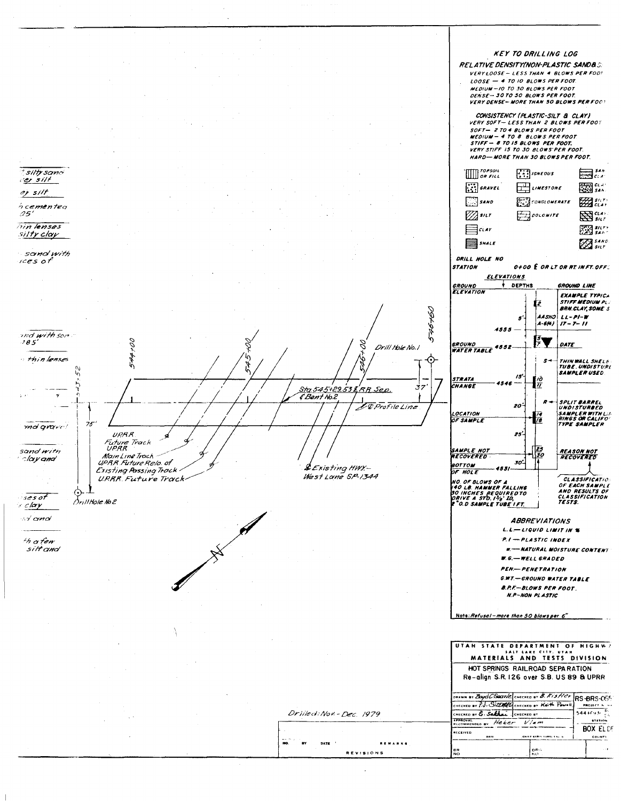